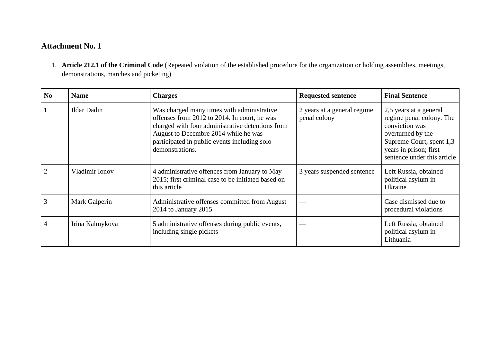## **Attachment No. 1**

1. **Article 212.1 of the Criminal Code** (Repeated violation of the established procedure for the organization or holding assemblies, meetings, demonstrations, marches and picketing)

| N <sub>0</sub> | <b>Name</b>        | <b>Charges</b>                                                                                                                                                                                                                                            | <b>Requested sentence</b>                   | <b>Final Sentence</b>                                                                                                                                                          |
|----------------|--------------------|-----------------------------------------------------------------------------------------------------------------------------------------------------------------------------------------------------------------------------------------------------------|---------------------------------------------|--------------------------------------------------------------------------------------------------------------------------------------------------------------------------------|
|                | <b>Ildar Dadin</b> | Was charged many times with administrative<br>offenses from 2012 to 2014. In court, he was<br>charged with four administrative detentions from<br>August to Decembre 2014 while he was<br>participated in public events including solo<br>demonstrations. | 2 years at a general regime<br>penal colony | 2,5 years at a general<br>regime penal colony. The<br>conviction was<br>overturned by the<br>Supreme Court, spent 1,3<br>years in prison; first<br>sentence under this article |
| $\overline{2}$ | Vladimir Ionov     | 4 administrative offences from January to May<br>2015; first criminal case to be initiated based on<br>this article                                                                                                                                       | 3 years suspended sentence                  | Left Russia, obtained<br>political asylum in<br>Ukraine                                                                                                                        |
| 3              | Mark Galperin      | Administrative offenses committed from August<br>2014 to January 2015                                                                                                                                                                                     |                                             | Case dismissed due to<br>procedural violations                                                                                                                                 |
| $\overline{4}$ | Irina Kalmykova    | 5 administrative offenses during public events,<br>including single pickets                                                                                                                                                                               |                                             | Left Russia, obtained<br>political asylum in<br>Lithuania                                                                                                                      |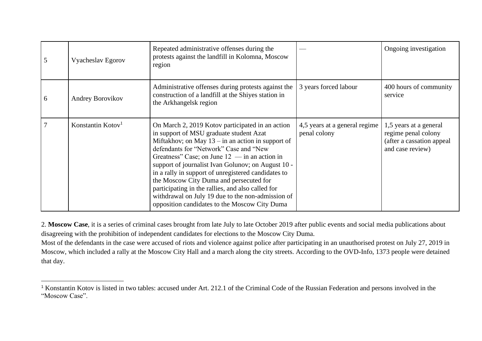| 5 | Vyacheslav Egorov             | Repeated administrative offenses during the<br>protests against the landfill in Kolomna, Moscow<br>region                                                                                                                                                                                                                                                                                                                                                                                                                                                          |                                               | Ongoing investigation                                                                           |
|---|-------------------------------|--------------------------------------------------------------------------------------------------------------------------------------------------------------------------------------------------------------------------------------------------------------------------------------------------------------------------------------------------------------------------------------------------------------------------------------------------------------------------------------------------------------------------------------------------------------------|-----------------------------------------------|-------------------------------------------------------------------------------------------------|
| 6 | Andrey Borovikov              | Administrative offenses during protests against the<br>construction of a landfill at the Shiyes station in<br>the Arkhangelsk region                                                                                                                                                                                                                                                                                                                                                                                                                               | 3 years forced labour                         | 400 hours of community<br>service                                                               |
|   | Konstantin Kotov <sup>1</sup> | On March 2, 2019 Kotov participated in an action<br>in support of MSU graduate student Azat<br>Miftakhov; on May $13 - in$ an action in support of<br>defendants for "Network" Case and "New<br>Greatness" Case; on June $12 -$ in an action in<br>support of journalist Ivan Golunov; on August 10 -<br>in a rally in support of unregistered candidates to<br>the Moscow City Duma and persecuted for<br>participating in the rallies, and also called for<br>withdrawal on July 19 due to the non-admission of<br>opposition candidates to the Moscow City Duma | 4,5 years at a general regime<br>penal colony | 1,5 years at a general<br>regime penal colony<br>(after a cassation appeal)<br>and case review) |

2. **Moscow Case**, it is a series of criminal cases brought from late July to late October 2019 after public events and social media publications about disagreeing with the prohibition of independent candidates for elections to the Moscow City Duma.

Most of the defendants in the case were accused of riots and violence against police after participating in an unauthorised protest on July 27, 2019 in Moscow, which included a rally at the Moscow City Hall and a march along the city streets. According to the OVD-Info, 1373 people were detained that day.

<sup>1</sup> Konstantin Kotov is listed in two tables: accused under Art. 212.1 of the Criminal Code of the Russian Federation and persons involved in the "Moscow Case".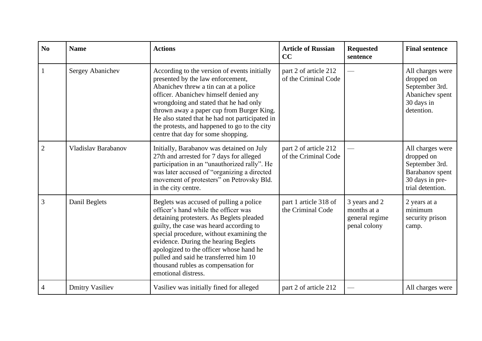| No             | <b>Name</b>            | <b>Actions</b>                                                                                                                                                                                                                                                                                                                                                                                               | <b>Article of Russian</b><br>CC               | <b>Requested</b><br>sentence                                   | <b>Final sentence</b>                                                                                      |
|----------------|------------------------|--------------------------------------------------------------------------------------------------------------------------------------------------------------------------------------------------------------------------------------------------------------------------------------------------------------------------------------------------------------------------------------------------------------|-----------------------------------------------|----------------------------------------------------------------|------------------------------------------------------------------------------------------------------------|
|                | Sergey Abanichev       | According to the version of events initially<br>presented by the law enforcement,<br>Abanichev threw a tin can at a police<br>officer. Abanichev himself denied any<br>wrongdoing and stated that he had only<br>thrown away a paper cup from Burger King.<br>He also stated that he had not participated in<br>the protests, and happened to go to the city<br>centre that day for some shopping.           | part 2 of article 212<br>of the Criminal Code |                                                                | All charges were<br>dropped on<br>September 3rd.<br>Abanichev spent<br>30 days in<br>detention.            |
| $\overline{2}$ | Vladislav Barabanov    | Initially, Barabanov was detained on July<br>27th and arrested for 7 days for alleged<br>participation in an "unauthorized rally". He<br>was later accused of "organizing a directed<br>movement of protesters" on Petrovsky Bld.<br>in the city centre.                                                                                                                                                     | part 2 of article 212<br>of the Criminal Code |                                                                | All charges were<br>dropped on<br>September 3rd.<br>Barabanov spent<br>30 days in pre-<br>trial detention. |
| 3              | Danil Beglets          | Beglets was accused of pulling a police<br>officer's hand while the officer was<br>detaining protesters. As Beglets pleaded<br>guilty, the case was heard according to<br>special procedure, without examining the<br>evidence. During the hearing Beglets<br>apologized to the officer whose hand he<br>pulled and said he transferred him 10<br>thousand rubles as compensation for<br>emotional distress. | part 1 article 318 of<br>the Criminal Code    | 3 years and 2<br>months at a<br>general regime<br>penal colony | 2 years at a<br>minimum<br>security prison<br>camp.                                                        |
| $\overline{4}$ | <b>Dmitry Vasiliev</b> | Vasiliev was initially fined for alleged                                                                                                                                                                                                                                                                                                                                                                     | part 2 of article 212                         |                                                                | All charges were                                                                                           |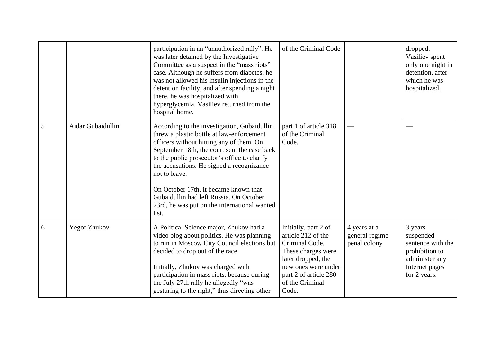|   |                     | participation in an "unauthorized rally". He<br>was later detained by the Investigative<br>Committee as a suspect in the "mass riots"<br>case. Although he suffers from diabetes, he<br>was not allowed his insulin injections in the<br>detention facility, and after spending a night<br>there, he was hospitalized with<br>hyperglycemia. Vasiliev returned from the<br>hospital home.                                                       | of the Criminal Code                                                                                                                                                                 |                                                | dropped.<br>Vasiliev spent<br>only one night in<br>detention, after<br>which he was<br>hospitalized.            |
|---|---------------------|-------------------------------------------------------------------------------------------------------------------------------------------------------------------------------------------------------------------------------------------------------------------------------------------------------------------------------------------------------------------------------------------------------------------------------------------------|--------------------------------------------------------------------------------------------------------------------------------------------------------------------------------------|------------------------------------------------|-----------------------------------------------------------------------------------------------------------------|
| 5 | Aidar Gubaidullin   | According to the investigation, Gubaidullin<br>threw a plastic bottle at law-enforcement<br>officers without hitting any of them. On<br>September 18th, the court sent the case back<br>to the public prosecutor's office to clarify<br>the accusations. He signed a recognizance<br>not to leave.<br>On October 17th, it became known that<br>Gubaidullin had left Russia. On October<br>23rd, he was put on the international wanted<br>list. | part 1 of article 318<br>of the Criminal<br>Code.                                                                                                                                    |                                                |                                                                                                                 |
| 6 | <b>Yegor Zhukov</b> | A Political Science major, Zhukov had a<br>video blog about politics. He was planning<br>to run in Moscow City Council elections but<br>decided to drop out of the race.<br>Initially, Zhukov was charged with<br>participation in mass riots, because during<br>the July 27th rally he allegedly "was<br>gesturing to the right," thus directing other                                                                                         | Initially, part 2 of<br>article 212 of the<br>Criminal Code.<br>These charges were<br>later dropped, the<br>new ones were under<br>part 2 of article 280<br>of the Criminal<br>Code. | 4 years at a<br>general regime<br>penal colony | 3 years<br>suspended<br>sentence with the<br>prohibition to<br>administer any<br>Internet pages<br>for 2 years. |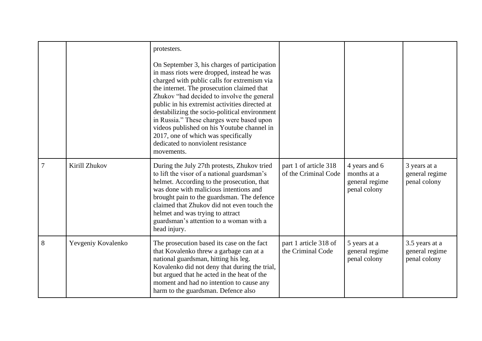|   |                    | protesters.<br>On September 3, his charges of participation<br>in mass riots were dropped, instead he was<br>charged with public calls for extremism via<br>the internet. The prosecution claimed that<br>Zhukov "had decided to involve the general<br>public in his extremist activities directed at<br>destabilizing the socio-political environment<br>in Russia." These charges were based upon<br>videos published on his Youtube channel in<br>2017, one of which was specifically<br>dedicated to nonviolent resistance<br>movements. |                                               |                                                                |                                                  |
|---|--------------------|-----------------------------------------------------------------------------------------------------------------------------------------------------------------------------------------------------------------------------------------------------------------------------------------------------------------------------------------------------------------------------------------------------------------------------------------------------------------------------------------------------------------------------------------------|-----------------------------------------------|----------------------------------------------------------------|--------------------------------------------------|
| 7 | Kirill Zhukov      | During the July 27th protests, Zhukov tried<br>to lift the visor of a national guardsman's<br>helmet. According to the prosecution, that<br>was done with malicious intentions and<br>brought pain to the guardsman. The defence<br>claimed that Zhukov did not even touch the<br>helmet and was trying to attract<br>guardsman's attention to a woman with a<br>head injury.                                                                                                                                                                 | part 1 of article 318<br>of the Criminal Code | 4 years and 6<br>months at a<br>general regime<br>penal colony | 3 years at a<br>general regime<br>penal colony   |
| 8 | Yevgeniy Kovalenko | The prosecution based its case on the fact<br>that Kovalenko threw a garbage can at a<br>national guardsman, hitting his leg.<br>Kovalenko did not deny that during the trial,<br>but argued that he acted in the heat of the<br>moment and had no intention to cause any<br>harm to the guardsman. Defence also                                                                                                                                                                                                                              | part 1 article 318 of<br>the Criminal Code    | 5 years at a<br>general regime<br>penal colony                 | 3.5 years at a<br>general regime<br>penal colony |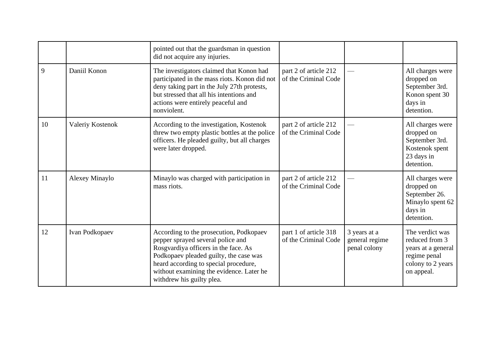|    |                  | pointed out that the guardsman in question<br>did not acquire any injuries.                                                                                                                                                                                                      |                                               |                                                |                                                                                                            |
|----|------------------|----------------------------------------------------------------------------------------------------------------------------------------------------------------------------------------------------------------------------------------------------------------------------------|-----------------------------------------------|------------------------------------------------|------------------------------------------------------------------------------------------------------------|
| 9  | Daniil Konon     | The investigators claimed that Konon had<br>participated in the mass riots. Konon did not<br>deny taking part in the July 27th protests,<br>but stressed that all his intentions and<br>actions were entirely peaceful and<br>nonviolent.                                        | part 2 of article 212<br>of the Criminal Code |                                                | All charges were<br>dropped on<br>September 3rd.<br>Konon spent 30<br>days in<br>detention.                |
| 10 | Valeriy Kostenok | According to the investigation, Kostenok<br>threw two empty plastic bottles at the police<br>officers. He pleaded guilty, but all charges<br>were later dropped.                                                                                                                 | part 2 of article 212<br>of the Criminal Code |                                                | All charges were<br>dropped on<br>September 3rd.<br>Kostenok spent<br>23 days in<br>detention.             |
| 11 | Alexey Minaylo   | Minaylo was charged with participation in<br>mass riots.                                                                                                                                                                                                                         | part 2 of article 212<br>of the Criminal Code |                                                | All charges were<br>dropped on<br>September 26.<br>Minaylo spent 62<br>days in<br>detention.               |
| 12 | Ivan Podkopaev   | According to the prosecution, Podkopaev<br>pepper sprayed several police and<br>Rosgvardiya officers in the face. As<br>Podkopaev pleaded guilty, the case was<br>heard according to special procedure,<br>without examining the evidence. Later he<br>withdrew his guilty plea. | part 1 of article 318<br>of the Criminal Code | 3 years at a<br>general regime<br>penal colony | The verdict was<br>reduced from 3<br>years at a general<br>regime penal<br>colony to 2 years<br>on appeal. |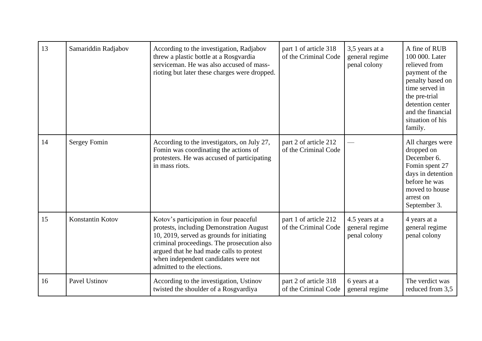| 13 | Samariddin Radjabov | According to the investigation, Radjabov<br>threw a plastic bottle at a Rosgvardia<br>serviceman. He was also accused of mass-<br>rioting but later these charges were dropped.                                                                                                                  | part 1 of article 318<br>of the Criminal Code | 3,5 years at a<br>general regime<br>penal colony | A fine of RUB<br>100 000. Later<br>relieved from<br>payment of the<br>penalty based on<br>time served in<br>the pre-trial<br>detention center<br>and the financial<br>situation of his<br>family. |
|----|---------------------|--------------------------------------------------------------------------------------------------------------------------------------------------------------------------------------------------------------------------------------------------------------------------------------------------|-----------------------------------------------|--------------------------------------------------|---------------------------------------------------------------------------------------------------------------------------------------------------------------------------------------------------|
| 14 | <b>Sergey Fomin</b> | According to the investigators, on July 27,<br>Fomin was coordinating the actions of<br>protesters. He was accused of participating<br>in mass riots.                                                                                                                                            | part 2 of article 212<br>of the Criminal Code |                                                  | All charges were<br>dropped on<br>December 6.<br>Fomin spent 27<br>days in detention<br>before he was<br>moved to house<br>arrest on<br>September 3.                                              |
| 15 | Konstantin Kotov    | Kotov's participation in four peaceful<br>protests, including Demonstration August<br>10, 2019, served as grounds for initiating<br>criminal proceedings. The prosecution also<br>argued that he had made calls to protest<br>when independent candidates were not<br>admitted to the elections. | part 1 of article 212<br>of the Criminal Code | 4.5 years at a<br>general regime<br>penal colony | 4 years at a<br>general regime<br>penal colony                                                                                                                                                    |
| 16 | Pavel Ustinov       | According to the investigation, Ustinov<br>twisted the shoulder of a Rosgvardiya                                                                                                                                                                                                                 | part 2 of article 318<br>of the Criminal Code | 6 years at a<br>general regime                   | The verdict was<br>reduced from 3,5                                                                                                                                                               |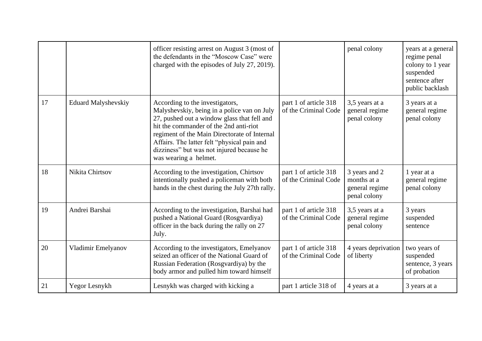|    |                            | officer resisting arrest on August 3 (most of<br>the defendants in the "Moscow Case" were<br>charged with the episodes of July 27, 2019).                                                                                                                                                                                                    |                                               | penal colony                                                   | years at a general<br>regime penal<br>colony to 1 year<br>suspended<br>sentence after<br>public backlash |
|----|----------------------------|----------------------------------------------------------------------------------------------------------------------------------------------------------------------------------------------------------------------------------------------------------------------------------------------------------------------------------------------|-----------------------------------------------|----------------------------------------------------------------|----------------------------------------------------------------------------------------------------------|
| 17 | <b>Eduard Malyshevskiy</b> | According to the investigators,<br>Malyshevskiy, being in a police van on July<br>27, pushed out a window glass that fell and<br>hit the commander of the 2nd anti-riot<br>regiment of the Main Directorate of Internal<br>Affairs. The latter felt "physical pain and<br>dizziness" but was not injured because he<br>was wearing a helmet. | part 1 of article 318<br>of the Criminal Code | 3,5 years at a<br>general regime<br>penal colony               | 3 years at a<br>general regime<br>penal colony                                                           |
| 18 | Nikita Chirtsov            | According to the investigation, Chirtsov<br>intentionally pushed a policeman with both<br>hands in the chest during the July 27th rally.                                                                                                                                                                                                     | part 1 of article 318<br>of the Criminal Code | 3 years and 2<br>months at a<br>general regime<br>penal colony | 1 year at a<br>general regime<br>penal colony                                                            |
| 19 | Andrei Barshai             | According to the investigation, Barshai had<br>pushed a National Guard (Rosgvardiya)<br>officer in the back during the rally on 27<br>July.                                                                                                                                                                                                  | part 1 of article 318<br>of the Criminal Code | 3,5 years at a<br>general regime<br>penal colony               | 3 years<br>suspended<br>sentence                                                                         |
| 20 | Vladimir Emelyanov         | According to the investigators, Emelyanov<br>seized an officer of the National Guard of<br>Russian Federation (Rosgvardiya) by the<br>body armor and pulled him toward himself                                                                                                                                                               | part 1 of article 318<br>of the Criminal Code | 4 years deprivation<br>of liberty                              | two years of<br>suspended<br>sentence, 3 years<br>of probation                                           |
| 21 | Yegor Lesnykh              | Lesnykh was charged with kicking a                                                                                                                                                                                                                                                                                                           | part 1 article 318 of                         | 4 years at a                                                   | 3 years at a                                                                                             |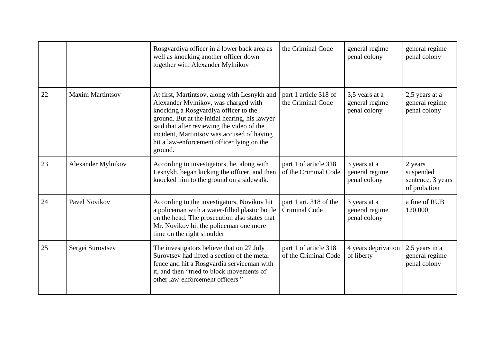|    |                         | Rosgvardiya officer in a lower back area as<br>well as knocking another officer down<br>together with Alexander Mylnikov                                                                                                                                                                                                             | the Criminal Code                              | general regime<br>penal colony                   | general regime<br>penal colony                            |
|----|-------------------------|--------------------------------------------------------------------------------------------------------------------------------------------------------------------------------------------------------------------------------------------------------------------------------------------------------------------------------------|------------------------------------------------|--------------------------------------------------|-----------------------------------------------------------|
| 22 | <b>Maxim Martintsov</b> | At first, Martintsov, along with Lesnykh and<br>Alexander Mylnikov, was charged with<br>knocking a Rosgvardiya officer to the<br>ground. But at the initial hearing, his lawyer<br>said that after reviewing the video of the<br>incident, Martintsov was accused of having<br>hit a law-enforcement officer lying on the<br>ground. | part 1 article 318 of<br>the Criminal Code     | 3,5 years at a<br>general regime<br>penal colony | 2,5 years at a<br>general regime<br>penal colony          |
| 23 | Alexander Mylnikov      | According to investigators, he, along with<br>Lesnykh, began kicking the officer, and then<br>knocked him to the ground on a sidewalk.                                                                                                                                                                                               | part 1 of article 318<br>of the Criminal Code  | 3 years at a<br>general regime<br>penal colony   | 2 years<br>suspended<br>sentence, 3 years<br>of probation |
| 24 | <b>Pavel Novikov</b>    | According to the investigators, Novikov hit<br>a policeman with a water-filled plastic bottle<br>on the head. The prosecution also states that<br>Mr. Novikov hit the policeman one more<br>time on the right shoulder                                                                                                               | part 1 art. 318 of the<br><b>Criminal Code</b> | 3 years at a<br>general regime<br>penal colony   | a fine of RUB<br>120 000                                  |
| 25 | Sergei Surovtsev        | The investigators believe that on 27 July<br>Surovtsev had lifted a section of the metal<br>fence and hit a Rosgvardia serviceman with<br>it, and then "tried to block movements of<br>other law-enforcement officers"                                                                                                               | part 1 of article 318<br>of the Criminal Code  | 4 years deprivation<br>of liberty                | 2,5 years in a<br>general regime<br>penal colony          |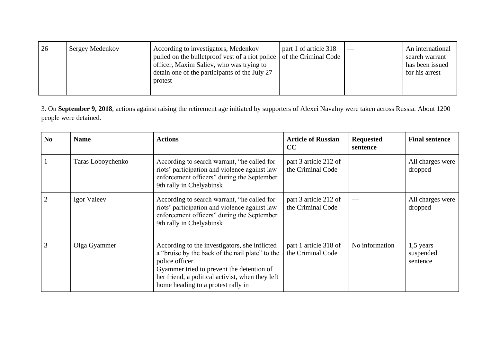| 26 | Sergey Medenkov | According to investigators, Medenkov<br>pulled on the bullet proof vest of a riot police of the Criminal Code<br>officer, Maxim Saliev, who was trying to<br>detain one of the participants of the July 27<br>protest | part 1 of article 318 |  | An international<br>search warrant<br>has been issued<br>for his arrest |
|----|-----------------|-----------------------------------------------------------------------------------------------------------------------------------------------------------------------------------------------------------------------|-----------------------|--|-------------------------------------------------------------------------|
|----|-----------------|-----------------------------------------------------------------------------------------------------------------------------------------------------------------------------------------------------------------------|-----------------------|--|-------------------------------------------------------------------------|

3. On **September 9, 2018**, actions against raising the retirement age initiated by supporters of Alexei Navalny were taken across Russia. About 1200 people were detained.

| N <sub>0</sub> | <b>Name</b>       | <b>Actions</b>                                                                                                                                                                                                                                             | <b>Article of Russian</b><br>CC            | <b>Requested</b><br>sentence | <b>Final sentence</b>                |
|----------------|-------------------|------------------------------------------------------------------------------------------------------------------------------------------------------------------------------------------------------------------------------------------------------------|--------------------------------------------|------------------------------|--------------------------------------|
|                | Taras Loboychenko | According to search warrant, "he called for<br>riots' participation and violence against law<br>enforcement officers" during the September<br>9th rally in Chelyabinsk                                                                                     | part 3 article 212 of<br>the Criminal Code |                              | All charges were<br>dropped          |
|                | Igor Valeev       | According to search warrant, "he called for<br>riots' participation and violence against law<br>enforcement officers" during the September<br>9th rally in Chelyabinsk                                                                                     | part 3 article 212 of<br>the Criminal Code |                              | All charges were<br>dropped          |
| 3              | Olga Gyammer      | According to the investigators, she inflicted<br>a "bruise by the back of the nail plate" to the<br>police officer.<br>Gyammer tried to prevent the detention of<br>her friend, a political activist, when they left<br>home heading to a protest rally in | part 1 article 318 of<br>the Criminal Code | No information               | $1,5$ years<br>suspended<br>sentence |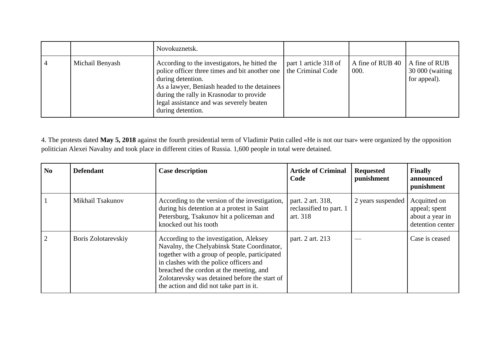|                 | Novokuznetsk.                                                                                                                                                                                                                                                                                         |                       |                            |                                                   |
|-----------------|-------------------------------------------------------------------------------------------------------------------------------------------------------------------------------------------------------------------------------------------------------------------------------------------------------|-----------------------|----------------------------|---------------------------------------------------|
| Michail Benyash | According to the investigators, he hitted the<br>police officer three times and bit another one   the Criminal Code<br>during detention.<br>As a lawyer, Beniash headed to the detainees<br>during the rally in Krasnodar to provide<br>legal assistance and was severely beaten<br>during detention. | part 1 article 318 of | A fine of RUB $40$<br>000. | A fine of RUB<br>30 000 (waiting)<br>for appeal). |

4. The protests dated **May 5, 2018** against the fourth presidential term of Vladimir Putin called «He is not our tsar» were organized by the opposition politician Alexei Navalny and took place in different cities of Russia. 1,600 people in total were detained.

| N <sub>0</sub> | <b>Defendant</b>    | <b>Case description</b>                                                                                                                                                                                                                                                                                                   | <b>Article of Criminal</b><br>Code                       | <b>Requested</b><br>punishment | <b>Finally</b><br>announced<br>punishment                            |
|----------------|---------------------|---------------------------------------------------------------------------------------------------------------------------------------------------------------------------------------------------------------------------------------------------------------------------------------------------------------------------|----------------------------------------------------------|--------------------------------|----------------------------------------------------------------------|
|                | Mikhail Tsakunov    | According to the version of the investigation,<br>during his detention at a protest in Saint<br>Petersburg, Tsakunov hit a policeman and<br>knocked out his tooth                                                                                                                                                         | part. 2 art. 318,<br>reclassified to part. 1<br>art. 318 | 2 years suspended              | Acquitted on<br>appeal; spent<br>about a year in<br>detention center |
| $\overline{2}$ | Boris Zolotarevskiy | According to the investigation, Aleksey<br>Navalny, the Chelyabinsk State Coordinator,<br>together with a group of people, participated<br>in clashes with the police officers and<br>breached the cordon at the meeting, and<br>Zolotarevsky was detained before the start of<br>the action and did not take part in it. | part. 2 art. 213                                         |                                | Case is ceased                                                       |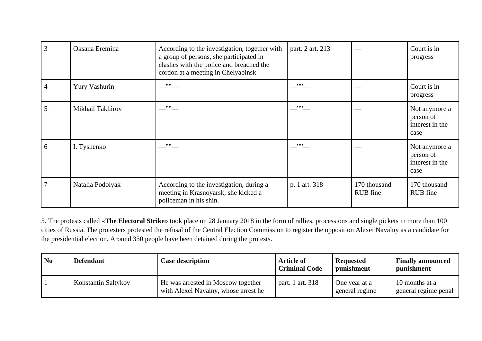| 3 | Oksana Eremina   | According to the investigation, together with<br>a group of persons, she participated in<br>clashes with the police and breached the<br>cordon at a meeting in Chelyabinsk | part. 2 art. 213 |                          | Court is in<br>progress                               |
|---|------------------|----------------------------------------------------------------------------------------------------------------------------------------------------------------------------|------------------|--------------------------|-------------------------------------------------------|
| 4 | Yury Vashurin    | , , , ,                                                                                                                                                                    | $\cdot$ "        |                          | Court is in<br>progress                               |
| 5 | Mikhail Takhirov | ,,,,                                                                                                                                                                       | , , , ,          |                          | Not anymore a<br>person of<br>interest in the<br>case |
| 6 | I. Tyshenko      | ,,,,                                                                                                                                                                       | ,,,,             |                          | Not anymore a<br>person of<br>interest in the<br>case |
|   | Natalia Podolyak | According to the investigation, during a<br>meeting in Krasnoyarsk, she kicked a<br>policeman in his shin.                                                                 | p. 1 art. 318    | 170 thousand<br>RUB fine | 170 thousand<br>RUB fine                              |

5. The protests called «**The Electoral Strike**» took place on 28 January 2018 in the form of rallies, processions and single pickets in more than 100 cities of Russia. The protesters protested the refusal of the Central Election Commission to register the opposition Alexei Navalny as a candidate for the presidential election. Around 350 people have been detained during the protests.

| N <sub>0</sub> | <b>Defendant</b>    | <b>Case description</b>                                                    | <b>Article of</b><br><b>Criminal Code</b> | <b>Requested</b><br>punishment  | <b>Finally announced</b><br>punishment |
|----------------|---------------------|----------------------------------------------------------------------------|-------------------------------------------|---------------------------------|----------------------------------------|
|                | Konstantin Saltykov | He was arrested in Moscow together<br>with Alexei Navalny, whose arrest he | part. 1 art. 318                          | One year at a<br>general regime | 10 months at a<br>general regime penal |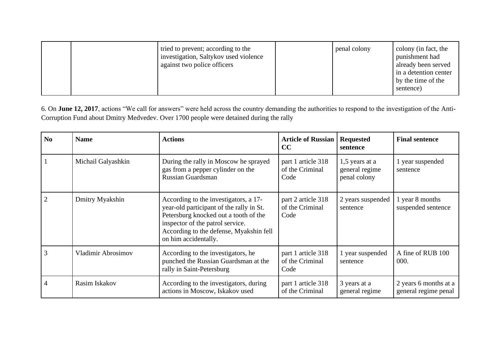| tried to prevent; according to the<br>investigation, Saltykov used violence<br>against two police officers | penal colony | colony (in fact, the<br>punishment had<br>already been served<br>in a detention center<br>by the time of the<br>sentence) |
|------------------------------------------------------------------------------------------------------------|--------------|---------------------------------------------------------------------------------------------------------------------------|
|------------------------------------------------------------------------------------------------------------|--------------|---------------------------------------------------------------------------------------------------------------------------|

6. On **June 12, 2017**, actions "We call for answers" were held across the country demanding the authorities to respond to the investigation of the Anti-Corruption Fund about Dmitry Medvedev. Over 1700 people were detained during the rally

| N <sub>0</sub> | <b>Name</b>        | <b>Actions</b>                                                                                                                                                                                                                    | <b>Article of Russian</b><br>CC               | <b>Requested</b><br>sentence                       | <b>Final sentence</b>                         |
|----------------|--------------------|-----------------------------------------------------------------------------------------------------------------------------------------------------------------------------------------------------------------------------------|-----------------------------------------------|----------------------------------------------------|-----------------------------------------------|
|                | Michail Galyashkin | During the rally in Moscow he sprayed<br>gas from a pepper cylinder on the<br>Russian Guardsman                                                                                                                                   | part 1 article 318<br>of the Criminal<br>Code | $1,5$ years at a<br>general regime<br>penal colony | 1 year suspended<br>sentence                  |
|                | Dmitry Myakshin    | According to the investigators, a 17-<br>year-old participant of the rally in St.<br>Petersburg knocked out a tooth of the<br>inspector of the patrol service.<br>According to the defense, Myakshin fell<br>on him accidentally. | part 2 article 318<br>of the Criminal<br>Code | 2 years suspended<br>sentence                      | l year 8 months<br>suspended sentence         |
| 3              | Vladimir Abrosimov | According to the investigators, he<br>punched the Russian Guardsman at the<br>rally in Saint-Petersburg                                                                                                                           | part 1 article 318<br>of the Criminal<br>Code | 1 year suspended<br>sentence                       | A fine of RUB 100<br>000.                     |
|                | Rasim Iskakov      | According to the investigators, during<br>actions in Moscow, Iskakov used                                                                                                                                                         | part 1 article 318<br>of the Criminal         | 3 years at a<br>general regime                     | 2 years 6 months at a<br>general regime penal |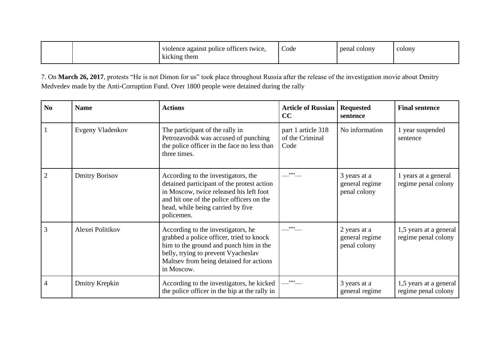| violence against police officers twice,<br>kicking them | Code | penal colony | colony |
|---------------------------------------------------------|------|--------------|--------|
|---------------------------------------------------------|------|--------------|--------|

7. On **March 26, 2017**, protests "He is not Dimon for us" took place throughout Russia after the release of the investigation movie about Dmitry Medvedev made by the Anti-Corruption Fund. Over 1800 people were detained during the rally

| N <sub>0</sub> | <b>Name</b>           | <b>Actions</b>                                                                                                                                                                                                               | <b>Article of Russian</b><br>CC               | <b>Requested</b><br>sentence                   | <b>Final sentence</b>                         |
|----------------|-----------------------|------------------------------------------------------------------------------------------------------------------------------------------------------------------------------------------------------------------------------|-----------------------------------------------|------------------------------------------------|-----------------------------------------------|
|                | Evgeny Vladenkov      | The participant of the rally in<br>Petrozavodsk was accused of punching<br>the police officer in the face no less than<br>three times.                                                                                       | part 1 article 318<br>of the Criminal<br>Code | No information                                 | 1 year suspended<br>sentence                  |
| $\overline{2}$ | <b>Dmitry Borisov</b> | According to the investigators, the<br>detained participant of the protest action<br>in Moscow, twice released his left foot<br>and hit one of the police officers on the<br>head, while being carried by five<br>policemen. | ,,,,                                          | 3 years at a<br>general regime<br>penal colony | 1 years at a general<br>regime penal colony   |
| 3              | Alexei Politikov      | According to the investigators, he<br>grabbed a police officer, tried to knock<br>him to the ground and punch him in the<br>belly, trying to prevent Vyacheslav<br>Maltsev from being detained for actions<br>in Moscow.     | ,,,,                                          | 2 years at a<br>general regime<br>penal colony | 1,5 years at a general<br>regime penal colony |
| 4              | Dmitry Krepkin        | According to the investigators, he kicked<br>the police officer in the hip at the rally in                                                                                                                                   | , 2, 3, 6                                     | 3 years at a<br>general regime                 | 1,5 years at a general<br>regime penal colony |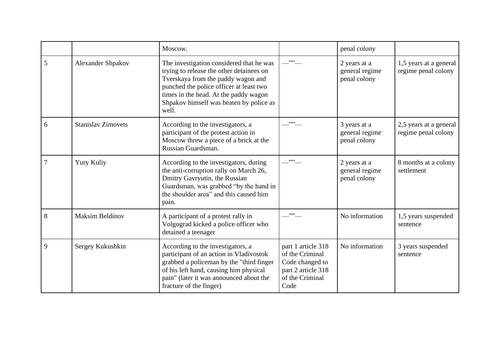|                |                           | Moscow.                                                                                                                                                                                                                                                            |                                                                                                           | penal colony                                   |                                               |
|----------------|---------------------------|--------------------------------------------------------------------------------------------------------------------------------------------------------------------------------------------------------------------------------------------------------------------|-----------------------------------------------------------------------------------------------------------|------------------------------------------------|-----------------------------------------------|
| 5              | <b>Alexander Shpakov</b>  | The investigation considered that he was<br>trying to release the other detainees on<br>Tverskaya from the paddy wagon and<br>punched the police officer at least two<br>times in the head. At the paddy wagon<br>Shpakov himself was beaten by police as<br>well. | $\overline{\phantom{a}}^{}$                                                                               | 2 years at a<br>general regime<br>penal colony | 1,5 years at a general<br>regime penal colony |
| 6              | <b>Stanislav Zimovets</b> | According to the investigators, a<br>participant of the protest action in<br>Moscow threw a piece of a brick at the<br>Russian Guardsman.                                                                                                                          | , , , ,                                                                                                   | 3 years at a<br>general regime<br>penal colony | 2,5 years at a general<br>regime penal colony |
| $\overline{7}$ | Yury Kuliy                | According to the investigators, during<br>the anti-corruption rally on March 26,<br>Dmitry Gavryutin, the Russian<br>Guardsman, was grabbed "by the hand in<br>the shoulder area" and this caused him<br>pain.                                                     | $\overline{\phantom{a}}^{}$                                                                               | 2 years at a<br>general regime<br>penal colony | 8 months at a colony<br>settlement            |
| 8              | <b>Maksim Beldinov</b>    | A participant of a protest rally in<br>Volgograd kicked a police officer who<br>detained a teenager                                                                                                                                                                | ,,,,                                                                                                      | No information                                 | 1,5 years suspended<br>sentence               |
| 9              | Sergey Kukushkin          | According to the investigators, a<br>participant of an action in Vladivostok<br>grabbed a policeman by the "third finger<br>of his left hand, causing him physical<br>pain" (later it was announced about the<br>fracture of the finger)                           | part 1 article 318<br>of the Criminal<br>Code changed to<br>part 2 article 318<br>of the Criminal<br>Code | No information                                 | 3 years suspended<br>sentence                 |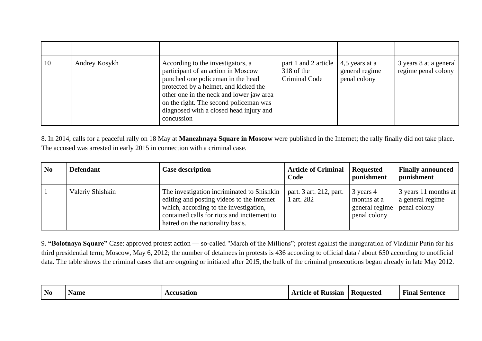| 10 | Andrey Kosykh | According to the investigators, a<br>participant of an action in Moscow<br>punched one policeman in the head<br>protected by a helmet, and kicked the<br>other one in the neck and lower jaw area<br>on the right. The second policeman was<br>diagnosed with a closed head injury and<br>concussion | part 1 and 2 article $\vert 4,5$ years at a<br>$318$ of the<br>Criminal Code | general regime<br>penal colony | 3 years 8 at a general<br>regime penal colony |
|----|---------------|------------------------------------------------------------------------------------------------------------------------------------------------------------------------------------------------------------------------------------------------------------------------------------------------------|------------------------------------------------------------------------------|--------------------------------|-----------------------------------------------|

8. In 2014, calls for a peaceful rally on 18 May at **Manezhnaya Square in Moscow** were published in the Internet; the rally finally did not take place. The accused was arrested in early 2015 in connection with a criminal case.

| N <sub>0</sub> | <b>Defendant</b> | <b>Case description</b>                                                                                                                                                                                               | <b>Article of Criminal</b><br>Code    | <b>Requested</b><br>punishment                                            | <b>Finally announced</b><br>punishment   |
|----------------|------------------|-----------------------------------------------------------------------------------------------------------------------------------------------------------------------------------------------------------------------|---------------------------------------|---------------------------------------------------------------------------|------------------------------------------|
|                | Valeriy Shishkin | The investigation incriminated to Shishkin<br>editing and posting videos to the Internet<br>which, according to the investigation,<br>contained calls for riots and incitement to<br>hatred on the nationality basis. | part. 3 art. 212, part.<br>1 art. 282 | 3 years 4<br>months at a<br>general regime   penal colony<br>penal colony | 3 years 11 months at<br>a general regime |

9. **"Bolotnaya Square"** Case: approved protest action — so-called "March of the Millions"; protest against the inauguration of Vladimir Putin for his third presidential term; Moscow, May 6, 2012; the number of detainees in protests is 436 according to official data / about 650 according to unofficial data. The table shows the criminal cases that are ongoing or initiated after 2015, the bulk of the criminal prosecutions began already in late May 2012.

| N <sub>0</sub> | <b>Name</b> | cusation<br>couset<br>∸ | $\mathbf{H}$<br><b>Russiar</b><br>-ot<br>МА | - Kequested | ↽<br>. Sentence<br>†ına. |
|----------------|-------------|-------------------------|---------------------------------------------|-------------|--------------------------|
|----------------|-------------|-------------------------|---------------------------------------------|-------------|--------------------------|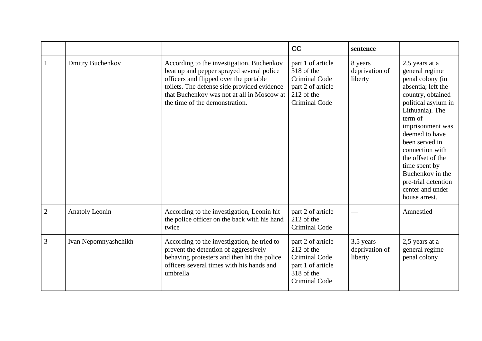|                |                         |                                                                                                                                                                                                                                                                 | CC                                                                                                          | sentence                               |                                                                                                                                                                                                                                                                                                                                                       |
|----------------|-------------------------|-----------------------------------------------------------------------------------------------------------------------------------------------------------------------------------------------------------------------------------------------------------------|-------------------------------------------------------------------------------------------------------------|----------------------------------------|-------------------------------------------------------------------------------------------------------------------------------------------------------------------------------------------------------------------------------------------------------------------------------------------------------------------------------------------------------|
|                | <b>Dmitry Buchenkov</b> | According to the investigation, Buchenkov<br>beat up and pepper sprayed several police<br>officers and flipped over the portable<br>toilets. The defense side provided evidence<br>that Buchenkov was not at all in Moscow at<br>the time of the demonstration. | part 1 of article<br>318 of the<br>Criminal Code<br>part 2 of article<br>212 of the<br><b>Criminal Code</b> | 8 years<br>deprivation of<br>liberty   | 2,5 years at a<br>general regime<br>penal colony (in<br>absentia; left the<br>country, obtained<br>political asylum in<br>Lithuania). The<br>term of<br>imprisonment was<br>deemed to have<br>been served in<br>connection with<br>the offset of the<br>time spent by<br>Buchenkov in the<br>pre-trial detention<br>center and under<br>house arrest. |
| $\overline{2}$ | <b>Anatoly Leonin</b>   | According to the investigation, Leonin hit<br>the police officer on the back with his hand<br>twice                                                                                                                                                             | part 2 of article<br>212 of the<br><b>Criminal Code</b>                                                     |                                        | Amnestied                                                                                                                                                                                                                                                                                                                                             |
| 3              | Ivan Nepomnyashchikh    | According to the investigation, he tried to<br>prevent the detention of aggressively<br>behaving protesters and then hit the police<br>officers several times with his hands and<br>umbrella                                                                    | part 2 of article<br>212 of the<br>Criminal Code<br>part 1 of article<br>318 of the<br><b>Criminal Code</b> | 3,5 years<br>deprivation of<br>liberty | 2,5 years at a<br>general regime<br>penal colony                                                                                                                                                                                                                                                                                                      |